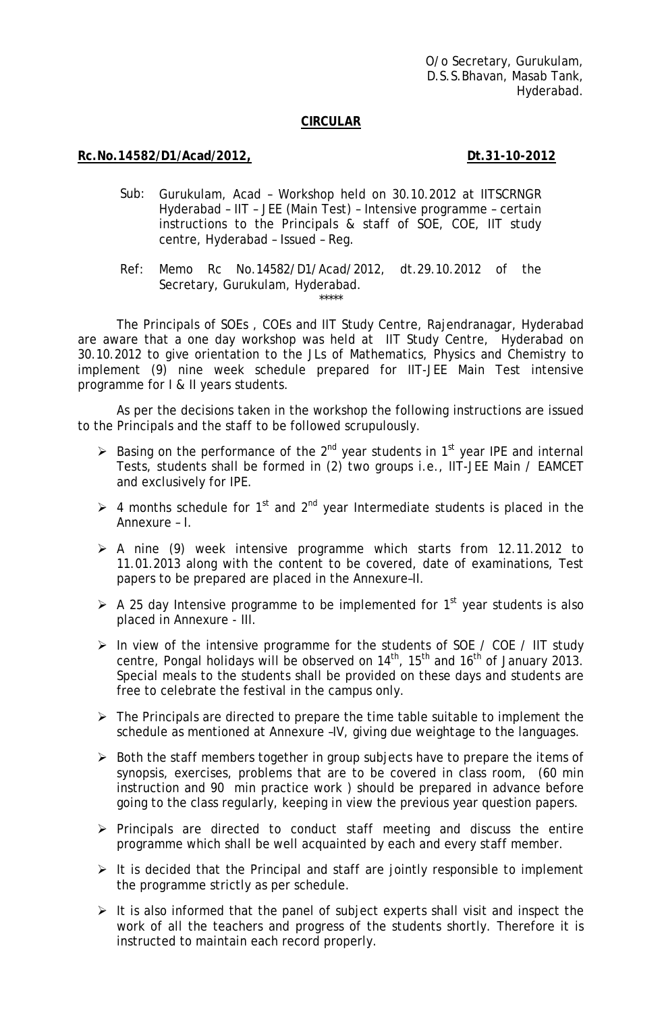O/o Secretary, Gurukulam, D.S.S.Bhavan, Masab Tank, Hyderabad.

### **CIRCULAR**

### **Rc.No.14582/D1/Acad/2012,** 2012 **Dt.31-10-2012**

- Sub: Gurukulam, Acad Workshop held on 30.10.2012 at IITSCRNGR Hyderabad – IIT – JEE (Main Test) – Intensive programme – certain instructions to the Principals & staff of SOE, COE, IIT study centre, Hyderabad – Issued – Reg.
- Ref: Memo Rc No.14582/D1/Acad/2012, dt.29.10.2012 of the Secretary, Gurukulam, Hyderabad. \*\*\*\*\*

The Principals of SOEs , COEs and IIT Study Centre, Rajendranagar, Hyderabad are aware that a one day workshop was held at IIT Study Centre, Hyderabad on 30.10.2012 to give orientation to the JLs of Mathematics, Physics and Chemistry to implement (9) nine week schedule prepared for IIT-JEE Main Test intensive programme for I & II years students.

As per the decisions taken in the workshop the following instructions are issued to the Principals and the staff to be followed scrupulously.

- Example 1 Basing on the performance of the 2<sup>nd</sup> year students in 1<sup>st</sup> year IPE and internal Tests, students shall be formed in (2) two groups i.e., IIT-JEE Main / EAMCET and exclusively for IPE.
- $\triangleright$  4 months schedule for 1<sup>st</sup> and 2<sup>nd</sup> year Intermediate students is placed in the Annexure – I.
- $\triangleright$  A nine (9) week intensive programme which starts from 12.11.2012 to 11.01.2013 along with the content to be covered, date of examinations, Test papers to be prepared are placed in the Annexure–II.
- $\triangleright$  A 25 day Intensive programme to be implemented for 1<sup>st</sup> year students is also placed in Annexure - III.
- ¾ In view of the intensive programme for the students of SOE / COE / IIT study centre, Pongal holidays will be observed on  $14<sup>th</sup>$ ,  $15<sup>th</sup>$  and  $16<sup>th</sup>$  of January 2013. Special meals to the students shall be provided on these days and students are free to celebrate the festival in the campus only.
- $\triangleright$  The Principals are directed to prepare the time table suitable to implement the schedule as mentioned at Annexure –IV, giving due weightage to the languages.
- $\triangleright$  Both the staff members together in group subjects have to prepare the items of synopsis, exercises, problems that are to be covered in class room, (60 min instruction and 90 min practice work ) should be prepared in advance before going to the class regularly, keeping in view the previous year question papers.
- $\triangleright$  Principals are directed to conduct staff meeting and discuss the entire programme which shall be well acquainted by each and every staff member.
- $\triangleright$  It is decided that the Principal and staff are jointly responsible to implement the programme strictly as per schedule.
- $\triangleright$  It is also informed that the panel of subject experts shall visit and inspect the work of all the teachers and progress of the students shortly. Therefore it is instructed to maintain each record properly.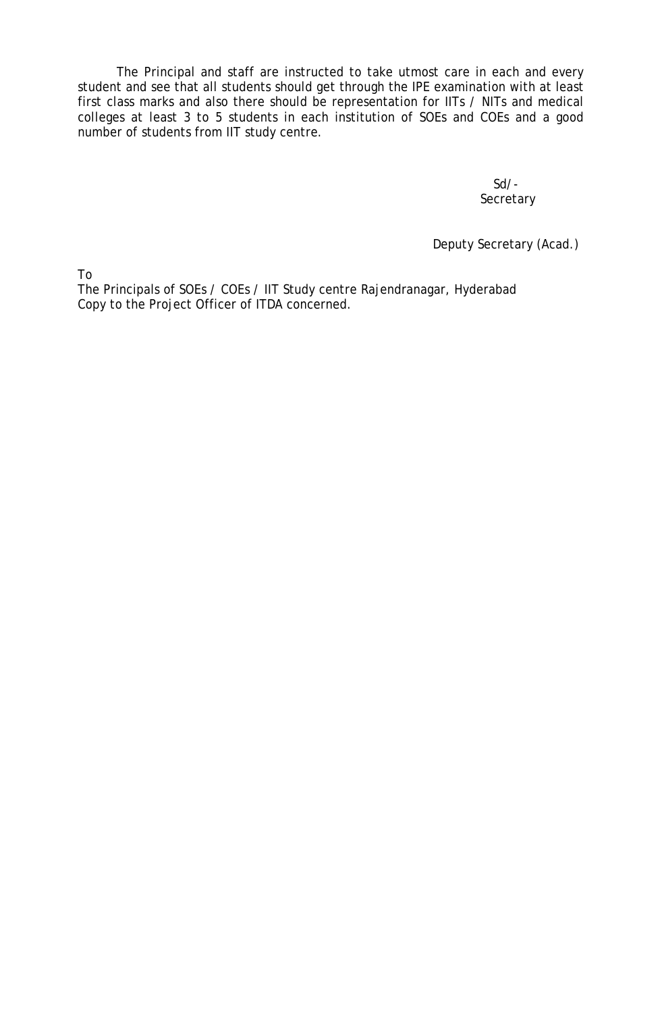The Principal and staff are instructed to take utmost care in each and every student and see that all students should get through the IPE examination with at least first class marks and also there should be representation for IITs / NITs and medical colleges at least 3 to 5 students in each institution of SOEs and COEs and a good number of students from IIT study centre.

> Sd/- **Secretary**

Deputy Secretary (Acad.)

To

The Principals of SOEs / COEs / IIT Study centre Rajendranagar, Hyderabad Copy to the Project Officer of ITDA concerned.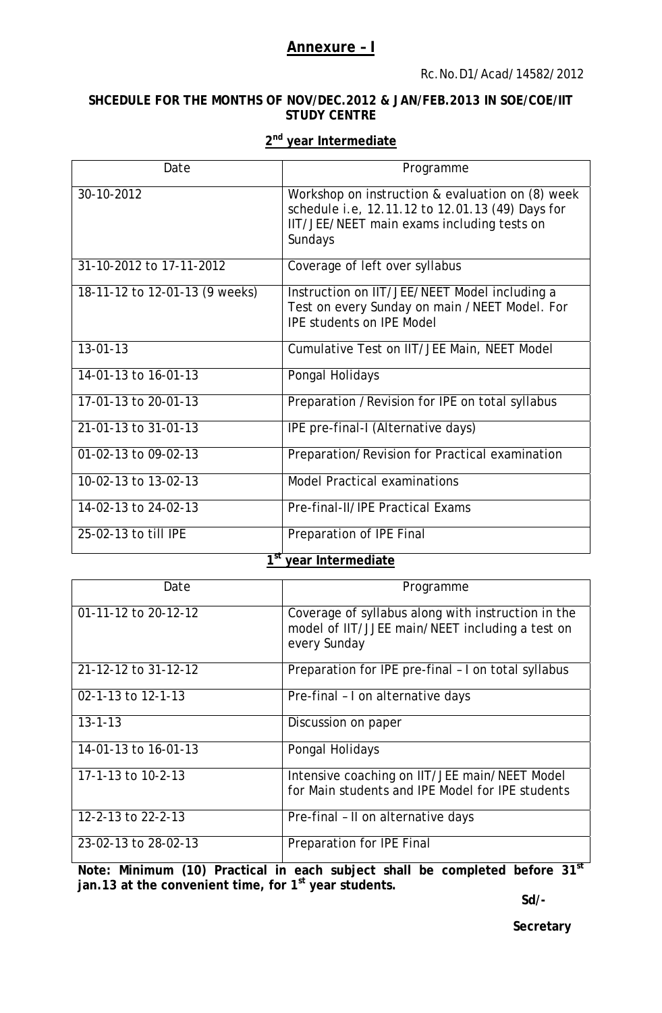### **Annexure – I**

### **SHCEDULE FOR THE MONTHS OF NOV/DEC.2012 & JAN/FEB.2013 IN SOE/COE/IIT STUDY CENTRE**

### **2nd year Intermediate**

| Date                           | Programme                                                                                                                                                     |
|--------------------------------|---------------------------------------------------------------------------------------------------------------------------------------------------------------|
| 30-10-2012                     | Workshop on instruction & evaluation on (8) week<br>schedule i.e, 12.11.12 to 12.01.13 (49) Days for<br>IIT/JEE/NEET main exams including tests on<br>Sundays |
| 31-10-2012 to 17-11-2012       | Coverage of left over syllabus                                                                                                                                |
| 18-11-12 to 12-01-13 (9 weeks) | Instruction on IIT/JEE/NEET Model including a<br>Test on every Sunday on main /NEET Model. For<br><b>IPE students on IPE Model</b>                            |
| $13 - 01 - 13$                 | Cumulative Test on IIT/JEE Main, NEET Model                                                                                                                   |
| 14-01-13 to 16-01-13           | Pongal Holidays                                                                                                                                               |
| 17-01-13 to 20-01-13           | Preparation / Revision for IPE on total syllabus                                                                                                              |
| 21-01-13 to 31-01-13           | IPE pre-final-I (Alternative days)                                                                                                                            |
| 01-02-13 to 09-02-13           | Preparation/Revision for Practical examination                                                                                                                |
| 10-02-13 to 13-02-13           | <b>Model Practical examinations</b>                                                                                                                           |
| 14-02-13 to 24-02-13           | Pre-final-II/IPE Practical Exams                                                                                                                              |
| 25-02-13 to till IPE           | Preparation of IPE Final<br>$1st$ your Intermediate                                                                                                           |

### **1st year Intermediate**

| Date                 | Programme                                                                                                             |
|----------------------|-----------------------------------------------------------------------------------------------------------------------|
| 01-11-12 to 20-12-12 | Coverage of syllabus along with instruction in the<br>model of IIT/JJEE main/NEET including a test on<br>every Sunday |
| 21-12-12 to 31-12-12 | Preparation for IPE pre-final - I on total syllabus                                                                   |
| 02-1-13 to 12-1-13   | Pre-final - I on alternative days                                                                                     |
| $13 - 1 - 13$        | Discussion on paper                                                                                                   |
| 14-01-13 to 16-01-13 | Pongal Holidays                                                                                                       |
| 17-1-13 to 10-2-13   | Intensive coaching on IIT/JEE main/NEET Model<br>for Main students and IPE Model for IPE students                     |
| 12-2-13 to 22-2-13   | Pre-final - II on alternative days                                                                                    |
| 23-02-13 to 28-02-13 | Preparation for IPE Final                                                                                             |

**Note: Minimum (10) Practical in each subject shall be completed before 31st jan.13 at the convenient time, for 1st year students.** 

 **Sd/-** 

**Secretary**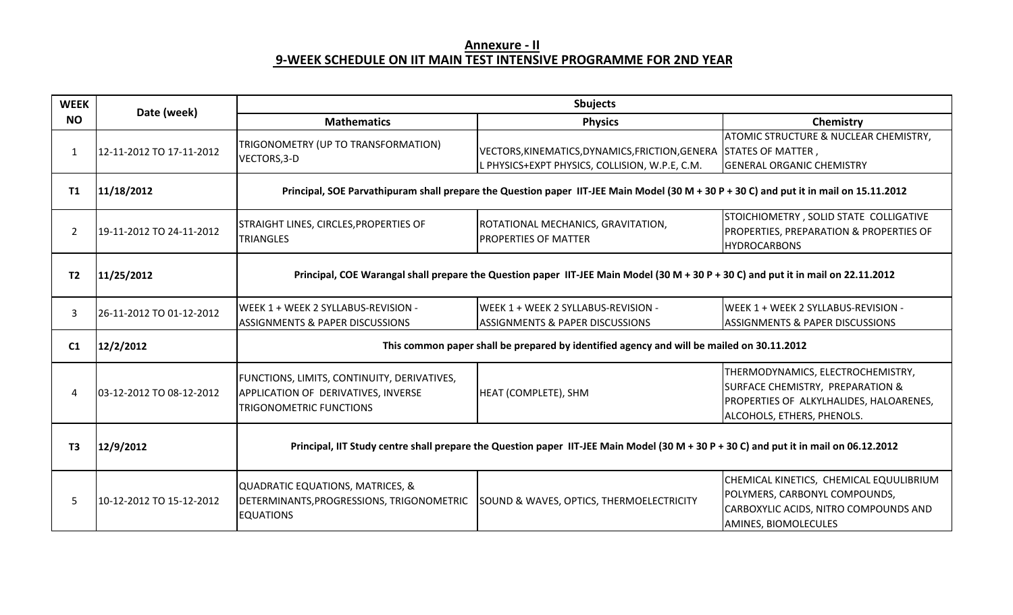# **Annexure ‐ II 9‐WEEK SCHEDULE ON IIT MAIN TEST INTENSIVE PROGRAMME FOR 2ND YEA R**

| <b>WEEK</b>    | Date (week)              | <b>Sbujects</b>                                                                                                                        |                                                                                                                     |                                                                                                                                                |  |
|----------------|--------------------------|----------------------------------------------------------------------------------------------------------------------------------------|---------------------------------------------------------------------------------------------------------------------|------------------------------------------------------------------------------------------------------------------------------------------------|--|
| <b>NO</b>      |                          | <b>Mathematics</b>                                                                                                                     | <b>Physics</b>                                                                                                      | Chemistry                                                                                                                                      |  |
| 1              | 12-11-2012 TO 17-11-2012 | TRIGONOMETRY (UP TO TRANSFORMATION)<br>VECTORS, 3-D                                                                                    | VECTORS, KINEMATICS, DYNAMICS, FRICTION, GENERA STATES OF MATTER,<br>L PHYSICS+EXPT PHYSICS, COLLISION, W.P.E, C.M. | <b>ATOMIC STRUCTURE &amp; NUCLEAR CHEMISTRY,</b><br><b>GENERAL ORGANIC CHEMISTRY</b>                                                           |  |
| T1             | 11/18/2012               | Principal, SOE Parvathipuram shall prepare the Question paper IIT-JEE Main Model (30 M + 30 P + 30 C) and put it in mail on 15.11.2012 |                                                                                                                     |                                                                                                                                                |  |
| 2              | 19-11-2012 TO 24-11-2012 | STRAIGHT LINES, CIRCLES, PROPERTIES OF<br><b>TRIANGLES</b>                                                                             | ROTATIONAL MECHANICS, GRAVITATION,<br><b>PROPERTIES OF MATTER</b>                                                   | STOICHIOMETRY, SOLID STATE COLLIGATIVE<br>PROPERTIES, PREPARATION & PROPERTIES OF<br><b>HYDROCARBONS</b>                                       |  |
| T <sub>2</sub> | 11/25/2012               | Principal, COE Warangal shall prepare the Question paper IIT-JEE Main Model (30 M + 30 P + 30 C) and put it in mail on 22.11.2012      |                                                                                                                     |                                                                                                                                                |  |
| 3              | 26-11-2012 TO 01-12-2012 | <b>WEEK 1 + WEEK 2 SYLLABUS-REVISION -</b><br><b>ASSIGNMENTS &amp; PAPER DISCUSSIONS</b>                                               | WEEK 1 + WEEK 2 SYLLABUS-REVISION -<br><b>ASSIGNMENTS &amp; PAPER DISCUSSIONS</b>                                   | WEEK 1 + WEEK 2 SYLLABUS-REVISION -<br><b>ASSIGNMENTS &amp; PAPER DISCUSSIONS</b>                                                              |  |
| C1             | 12/2/2012                | This common paper shall be prepared by identified agency and will be mailed on 30.11.2012                                              |                                                                                                                     |                                                                                                                                                |  |
| 4              | 03-12-2012 TO 08-12-2012 | FUNCTIONS, LIMITS, CONTINUITY, DERIVATIVES,<br>APPLICATION OF DERIVATIVES, INVERSE<br><b>TRIGONOMETRIC FUNCTIONS</b>                   | HEAT (COMPLETE), SHM                                                                                                | THERMODYNAMICS, ELECTROCHEMISTRY,<br>SURFACE CHEMISTRY, PREPARATION &<br>PROPERTIES OF ALKYLHALIDES, HALOARENES,<br>ALCOHOLS, ETHERS, PHENOLS. |  |
| T <sub>3</sub> | 12/9/2012                | Principal, IIT Study centre shall prepare the Question paper IIT-JEE Main Model (30 M + 30 P + 30 C) and put it in mail on 06.12.2012  |                                                                                                                     |                                                                                                                                                |  |
| 5.             | 10-12-2012 TO 15-12-2012 | QUADRATIC EQUATIONS, MATRICES, &<br>DETERMINANTS, PROGRESSIONS, TRIGONOMETRIC<br><b>EQUATIONS</b>                                      | SOUND & WAVES, OPTICS, THERMOELECTRICITY                                                                            | CHEMICAL KINETICS, CHEMICAL EQUULIBRIUM<br>POLYMERS, CARBONYL COMPOUNDS,<br>CARBOXYLIC ACIDS, NITRO COMPOUNDS AND<br>AMINES, BIOMOLECULES      |  |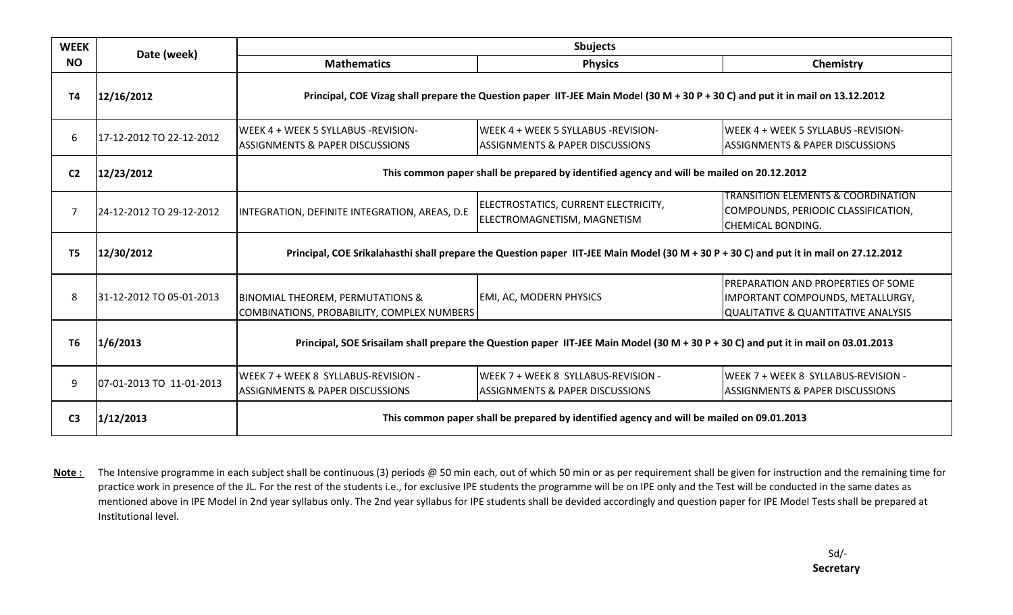| <b>WEEK</b>    | Date (week)              | Sbujects                                                                                                                               |                                                                                           |                                                                                                                  |
|----------------|--------------------------|----------------------------------------------------------------------------------------------------------------------------------------|-------------------------------------------------------------------------------------------|------------------------------------------------------------------------------------------------------------------|
| <b>NO</b>      |                          | <b>Mathematics</b>                                                                                                                     | <b>Physics</b>                                                                            | Chemistry                                                                                                        |
| T4             | 12/16/2012               | Principal, COE Vizag shall prepare the Question paper IIT-JEE Main Model (30 M + 30 P + 30 C) and put it in mail on 13.12.2012         |                                                                                           |                                                                                                                  |
| 6              | 17-12-2012 TO 22-12-2012 | WEEK 4 + WEEK 5 SYLLABUS -REVISION-<br><b>ASSIGNMENTS &amp; PAPER DISCUSSIONS</b>                                                      | lWEEK 4 + WEEK 5 SYLLABUS -REVISION-<br><b>ASSIGNMENTS &amp; PAPER DISCUSSIONS</b>        | WEEK 4 + WEEK 5 SYLLABUS -REVISION-<br><b>ASSIGNMENTS &amp; PAPER DISCUSSIONS</b>                                |
| C <sub>2</sub> | 12/23/2012               | This common paper shall be prepared by identified agency and will be mailed on 20.12.2012                                              |                                                                                           |                                                                                                                  |
| 7              | 24-12-2012 TO 29-12-2012 | INTEGRATION, DEFINITE INTEGRATION, AREAS, D.E.                                                                                         | ELECTROSTATICS, CURRENT ELECTRICITY,<br>ELECTROMAGNETISM, MAGNETISM                       | <b>TRANSITION ELEMENTS &amp; COORDINATION</b><br>COMPOUNDS, PERIODIC CLASSIFICATION,<br><b>CHEMICAL BONDING.</b> |
| T <sub>5</sub> | 12/30/2012               | Principal, COE Srikalahasthi shall prepare the Question paper IIT-JEE Main Model (30 M + 30 P + 30 C) and put it in mail on 27.12.2012 |                                                                                           |                                                                                                                  |
| 8              | 31-12-2012 TO 05-01-2013 | <b>BINOMIAL THEOREM, PERMUTATIONS &amp;</b><br>COMBINATIONS, PROBABILITY, COMPLEX NUMBERS                                              | <b>EMI, AC, MODERN PHYSICS</b>                                                            | PREPARATION AND PROPERTIES OF SOME<br>IMPORTANT COMPOUNDS, METALLURGY,<br>QUALITATIVE & QUANTITATIVE ANALYSIS    |
| T <sub>6</sub> | 1/6/2013                 | Principal, SOE Srisailam shall prepare the Question paper IIT-JEE Main Model (30 M + 30 P + 30 C) and put it in mail on 03.01.2013     |                                                                                           |                                                                                                                  |
| 9              | 07-01-2013 TO 11-01-2013 | WEEK 7 + WEEK 8 SYLLABUS-REVISION -<br><b>ASSIGNMENTS &amp; PAPER DISCUSSIONS</b>                                                      | WEEK 7 + WEEK 8 SYLLABUS-REVISION -<br><b>ASSIGNMENTS &amp; PAPER DISCUSSIONS</b>         | WEEK 7 + WEEK 8 SYLLABUS-REVISION -<br><b>ASSIGNMENTS &amp; PAPER DISCUSSIONS</b>                                |
| C <sub>3</sub> | 1/12/2013                |                                                                                                                                        | This common paper shall be prepared by identified agency and will be mailed on 09.01.2013 |                                                                                                                  |

**Note :** The Intensive programme in each subject shall be continuous (3) periods @ 50 min each, out of which 50 min or as per requirement shall be given for instruction and the remaining time for practice work in presence of the JL. For the rest of the students i.e., for exclusive IPE students the programme will be on IPE only and the Test will be conducted in the same dates as mentioned above in IPE Model in 2nd year syllabus only. The 2nd year syllabus for IPE students shall be devided accordingly and question paper for IPE Model Tests shall be prepared at Institutional level.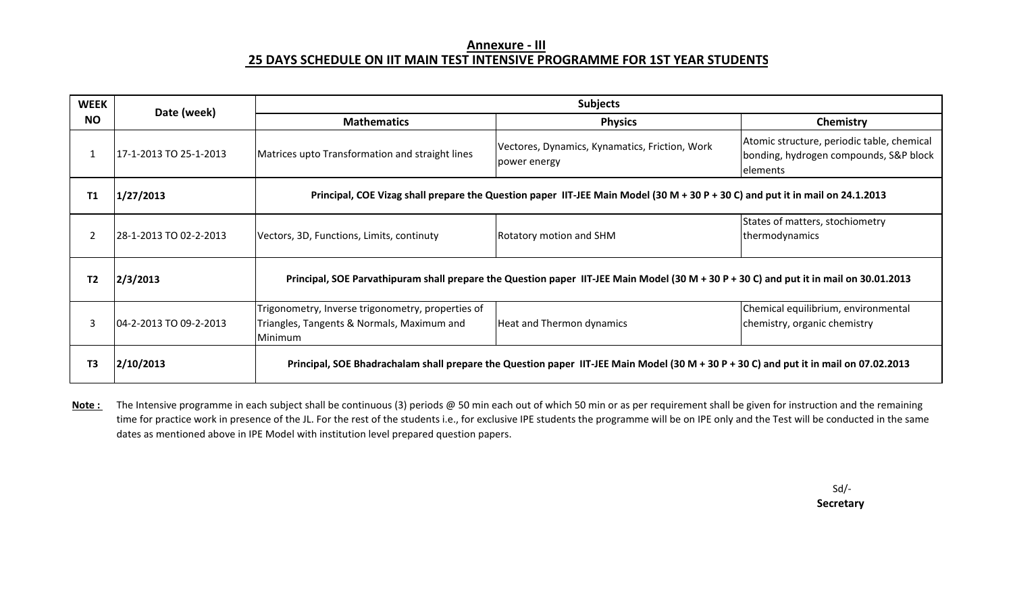### **Annexure ‐ III 25 DAYS SCHEDULE ON IIT MAIN TEST INTENSIVE PROGRAMME FOR 1ST YEAR STUDENT S**

| <b>WEEK</b>    | Date (week)            |                                                                                                                                        | <b>Subjects</b>                                                                                                                       |                                                                                                  |  |
|----------------|------------------------|----------------------------------------------------------------------------------------------------------------------------------------|---------------------------------------------------------------------------------------------------------------------------------------|--------------------------------------------------------------------------------------------------|--|
| <b>NO</b>      |                        | <b>Mathematics</b>                                                                                                                     | <b>Physics</b>                                                                                                                        | Chemistry                                                                                        |  |
|                | 17-1-2013 TO 25-1-2013 | Matrices upto Transformation and straight lines                                                                                        | Vectores, Dynamics, Kynamatics, Friction, Work<br>power energy                                                                        | Atomic structure, periodic table, chemical<br>bonding, hydrogen compounds, S&P block<br>elements |  |
| Τ1             | 1/27/2013              | Principal, COE Vizag shall prepare the Question paper IIT-JEE Main Model (30 M + 30 P + 30 C) and put it in mail on 24.1.2013          |                                                                                                                                       |                                                                                                  |  |
| $\overline{2}$ | 28-1-2013 TO 02-2-2013 | Vectors, 3D, Functions, Limits, continuty                                                                                              | Rotatory motion and SHM                                                                                                               | States of matters, stochiometry<br>thermodynamics                                                |  |
| T <sub>2</sub> | 2/3/2013               | Principal, SOE Parvathipuram shall prepare the Question paper IIT-JEE Main Model (30 M + 30 P + 30 C) and put it in mail on 30.01.2013 |                                                                                                                                       |                                                                                                  |  |
| 3              | 04-2-2013 TO 09-2-2013 | Trigonometry, Inverse trigonometry, properties of<br>Triangles, Tangents & Normals, Maximum and<br>Minimum                             | Heat and Thermon dynamics                                                                                                             | Chemical equilibrium, environmental<br>chemistry, organic chemistry                              |  |
| T <sub>3</sub> | 2/10/2013              |                                                                                                                                        | Principal, SOE Bhadrachalam shall prepare the Question paper IIT-JEE Main Model (30 M + 30 P + 30 C) and put it in mail on 07.02.2013 |                                                                                                  |  |

**Note :** The Intensive programme in each subject shall be continuous (3) periods @ 50 min each out of which 50 min or as per requirement shall be given for instruction and the remaining time for practice work in presence of the JL. For the rest of the students i.e., for exclusive IPE students the programme will be on IPE only and the Test will be conducted in the same dates as mentioned above in IPE Model with institution level prepared question papers.